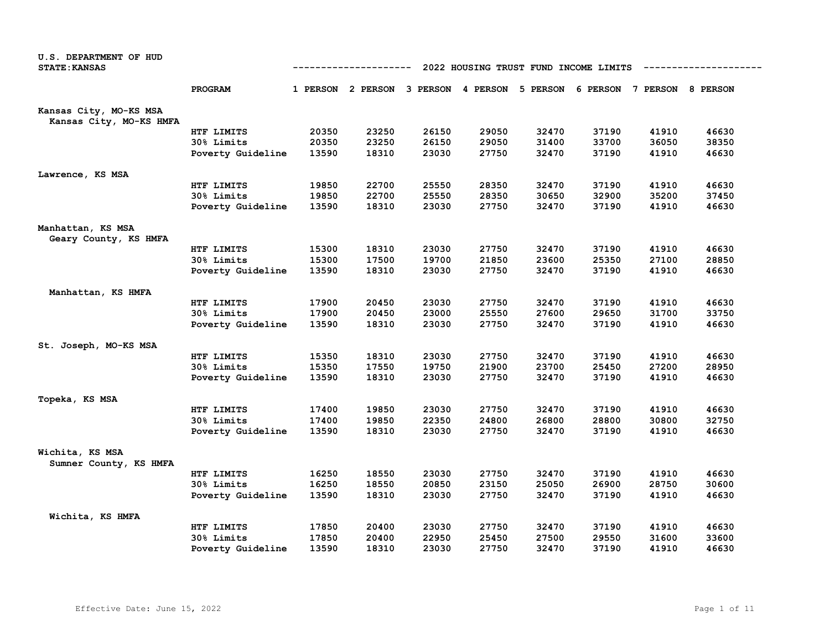| U.S. DEPARTMENT OF HUD<br><b>STATE: KANSAS</b>    | 2022 HOUSING TRUST FUND INCOME LIMITS<br>---------- |       |                                                                         |       |       |       |       |       |       |  |  |  |
|---------------------------------------------------|-----------------------------------------------------|-------|-------------------------------------------------------------------------|-------|-------|-------|-------|-------|-------|--|--|--|
|                                                   | PROGRAM                                             |       | 1 PERSON 2 PERSON 3 PERSON 4 PERSON 5 PERSON 6 PERSON 7 PERSON 8 PERSON |       |       |       |       |       |       |  |  |  |
| Kansas City, MO-KS MSA<br>Kansas City, MO-KS HMFA |                                                     |       |                                                                         |       |       |       |       |       |       |  |  |  |
|                                                   | HTF LIMITS                                          | 20350 | 23250                                                                   | 26150 | 29050 | 32470 | 37190 | 41910 | 46630 |  |  |  |
|                                                   | 30% Limits                                          | 20350 | 23250                                                                   | 26150 | 29050 | 31400 | 33700 | 36050 | 38350 |  |  |  |
|                                                   | Poverty Guideline                                   | 13590 | 18310                                                                   | 23030 | 27750 | 32470 | 37190 | 41910 | 46630 |  |  |  |
| Lawrence, KS MSA                                  |                                                     |       |                                                                         |       |       |       |       |       |       |  |  |  |
|                                                   | HTF LIMITS                                          | 19850 | 22700                                                                   | 25550 | 28350 | 32470 | 37190 | 41910 | 46630 |  |  |  |
|                                                   | 30% Limits                                          | 19850 | 22700                                                                   | 25550 | 28350 | 30650 | 32900 | 35200 | 37450 |  |  |  |
|                                                   | Poverty Guideline                                   | 13590 | 18310                                                                   | 23030 | 27750 | 32470 | 37190 | 41910 | 46630 |  |  |  |
| Manhattan, KS MSA                                 |                                                     |       |                                                                         |       |       |       |       |       |       |  |  |  |
| Geary County, KS HMFA                             |                                                     |       |                                                                         |       |       |       |       |       |       |  |  |  |
|                                                   | HTF LIMITS                                          | 15300 | 18310                                                                   | 23030 | 27750 | 32470 | 37190 | 41910 | 46630 |  |  |  |
|                                                   | 30% Limits                                          | 15300 | 17500                                                                   | 19700 | 21850 | 23600 | 25350 | 27100 | 28850 |  |  |  |
|                                                   | Poverty Guideline                                   | 13590 | 18310                                                                   | 23030 | 27750 | 32470 | 37190 | 41910 | 46630 |  |  |  |
| Manhattan, KS HMFA                                |                                                     |       |                                                                         |       |       |       |       |       |       |  |  |  |
|                                                   | HTF LIMITS                                          | 17900 | 20450                                                                   | 23030 | 27750 | 32470 | 37190 | 41910 | 46630 |  |  |  |
|                                                   | 30% Limits                                          | 17900 | 20450                                                                   | 23000 | 25550 | 27600 | 29650 | 31700 | 33750 |  |  |  |
|                                                   | Poverty Guideline                                   | 13590 | 18310                                                                   | 23030 | 27750 | 32470 | 37190 | 41910 | 46630 |  |  |  |
| St. Joseph, MO-KS MSA                             |                                                     |       |                                                                         |       |       |       |       |       |       |  |  |  |
|                                                   | HTF LIMITS                                          | 15350 | 18310                                                                   | 23030 | 27750 | 32470 | 37190 | 41910 | 46630 |  |  |  |
|                                                   | 30% Limits                                          | 15350 | 17550                                                                   | 19750 | 21900 | 23700 | 25450 | 27200 | 28950 |  |  |  |
|                                                   | Poverty Guideline                                   | 13590 | 18310                                                                   | 23030 | 27750 | 32470 | 37190 | 41910 | 46630 |  |  |  |
| Topeka, KS MSA                                    |                                                     |       |                                                                         |       |       |       |       |       |       |  |  |  |
|                                                   | HTF LIMITS                                          | 17400 | 19850                                                                   | 23030 | 27750 | 32470 | 37190 | 41910 | 46630 |  |  |  |
|                                                   | 30% Limits                                          | 17400 | 19850                                                                   | 22350 | 24800 | 26800 | 28800 | 30800 | 32750 |  |  |  |
|                                                   | Poverty Guideline                                   | 13590 | 18310                                                                   | 23030 | 27750 | 32470 | 37190 | 41910 | 46630 |  |  |  |
| Wichita, KS MSA<br>Sumner County, KS HMFA         |                                                     |       |                                                                         |       |       |       |       |       |       |  |  |  |
|                                                   | HTF LIMITS                                          | 16250 | 18550                                                                   | 23030 | 27750 | 32470 | 37190 | 41910 | 46630 |  |  |  |
|                                                   | 30% Limits                                          | 16250 | 18550                                                                   | 20850 | 23150 | 25050 | 26900 | 28750 | 30600 |  |  |  |
|                                                   | Poverty Guideline                                   | 13590 | 18310                                                                   | 23030 | 27750 | 32470 | 37190 | 41910 | 46630 |  |  |  |
| Wichita, KS HMFA                                  |                                                     |       |                                                                         |       |       |       |       |       |       |  |  |  |
|                                                   | HTF LIMITS                                          | 17850 | 20400                                                                   | 23030 | 27750 | 32470 | 37190 | 41910 | 46630 |  |  |  |
|                                                   | 30% Limits                                          | 17850 | 20400                                                                   | 22950 | 25450 | 27500 | 29550 | 31600 | 33600 |  |  |  |
|                                                   | Poverty Guideline                                   | 13590 | 18310                                                                   | 23030 | 27750 | 32470 | 37190 | 41910 | 46630 |  |  |  |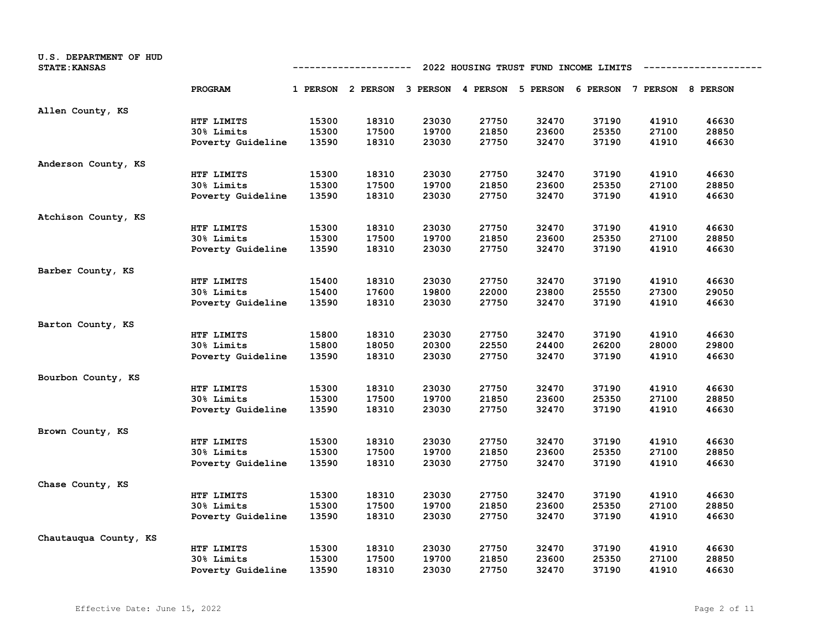| U.S. DEPARTMENT OF HUD<br><b>STATE: KANSAS</b> |                   | 2022 HOUSING TRUST FUND INCOME LIMITS<br>---------- |                                                                         |       |       |       |       |       |       |
|------------------------------------------------|-------------------|-----------------------------------------------------|-------------------------------------------------------------------------|-------|-------|-------|-------|-------|-------|
|                                                | PROGRAM           |                                                     | 1 PERSON 2 PERSON 3 PERSON 4 PERSON 5 PERSON 6 PERSON 7 PERSON 8 PERSON |       |       |       |       |       |       |
| Allen County, KS                               |                   |                                                     |                                                                         |       |       |       |       |       |       |
|                                                | HTF LIMITS        | 15300                                               | 18310                                                                   | 23030 | 27750 | 32470 | 37190 | 41910 | 46630 |
|                                                | 30% Limits        | 15300                                               | 17500                                                                   | 19700 | 21850 | 23600 | 25350 | 27100 | 28850 |
|                                                | Poverty Guideline | 13590                                               | 18310                                                                   | 23030 | 27750 | 32470 | 37190 | 41910 | 46630 |
| Anderson County, KS                            |                   |                                                     |                                                                         |       |       |       |       |       |       |
|                                                | HTF LIMITS        | 15300                                               | 18310                                                                   | 23030 | 27750 | 32470 | 37190 | 41910 | 46630 |
|                                                | 30% Limits        | 15300                                               | 17500                                                                   | 19700 | 21850 | 23600 | 25350 | 27100 | 28850 |
|                                                | Poverty Guideline | 13590                                               | 18310                                                                   | 23030 | 27750 | 32470 | 37190 | 41910 | 46630 |
| Atchison County, KS                            |                   |                                                     |                                                                         |       |       |       |       |       |       |
|                                                | HTF LIMITS        | 15300                                               | 18310                                                                   | 23030 | 27750 | 32470 | 37190 | 41910 | 46630 |
|                                                | 30% Limits        | 15300                                               | 17500                                                                   | 19700 | 21850 | 23600 | 25350 | 27100 | 28850 |
|                                                | Poverty Guideline | 13590                                               | 18310                                                                   | 23030 | 27750 | 32470 | 37190 | 41910 | 46630 |
| Barber County, KS                              |                   |                                                     |                                                                         |       |       |       |       |       |       |
|                                                | HTF LIMITS        | 15400                                               | 18310                                                                   | 23030 | 27750 | 32470 | 37190 | 41910 | 46630 |
|                                                | 30% Limits        | 15400                                               | 17600                                                                   | 19800 | 22000 | 23800 | 25550 | 27300 | 29050 |
|                                                | Poverty Guideline | 13590                                               | 18310                                                                   | 23030 | 27750 | 32470 | 37190 | 41910 | 46630 |
| Barton County, KS                              |                   |                                                     |                                                                         |       |       |       |       |       |       |
|                                                | HTF LIMITS        | 15800                                               | 18310                                                                   | 23030 | 27750 | 32470 | 37190 | 41910 | 46630 |
|                                                | 30% Limits        | 15800                                               | 18050                                                                   | 20300 | 22550 | 24400 | 26200 | 28000 | 29800 |
|                                                | Poverty Guideline | 13590                                               | 18310                                                                   | 23030 | 27750 | 32470 | 37190 | 41910 | 46630 |
| Bourbon County, KS                             |                   |                                                     |                                                                         |       |       |       |       |       |       |
|                                                | HTF LIMITS        | 15300                                               | 18310                                                                   | 23030 | 27750 | 32470 | 37190 | 41910 | 46630 |
|                                                | 30% Limits        | 15300                                               | 17500                                                                   | 19700 | 21850 | 23600 | 25350 | 27100 | 28850 |
|                                                | Poverty Guideline | 13590                                               | 18310                                                                   | 23030 | 27750 | 32470 | 37190 | 41910 | 46630 |
| Brown County, KS                               |                   |                                                     |                                                                         |       |       |       |       |       |       |
|                                                | HTF LIMITS        | 15300                                               | 18310                                                                   | 23030 | 27750 | 32470 | 37190 | 41910 | 46630 |
|                                                | 30% Limits        | 15300                                               | 17500                                                                   | 19700 | 21850 | 23600 | 25350 | 27100 | 28850 |
|                                                | Poverty Guideline | 13590                                               | 18310                                                                   | 23030 | 27750 | 32470 | 37190 | 41910 | 46630 |
| Chase County, KS                               |                   |                                                     |                                                                         |       |       |       |       |       |       |
|                                                | HTF LIMITS        | 15300                                               | 18310                                                                   | 23030 | 27750 | 32470 | 37190 | 41910 | 46630 |
|                                                | 30% Limits        | 15300                                               | 17500                                                                   | 19700 | 21850 | 23600 | 25350 | 27100 | 28850 |
|                                                | Poverty Guideline | 13590                                               | 18310                                                                   | 23030 | 27750 | 32470 | 37190 | 41910 | 46630 |
| Chautauqua County, KS                          |                   |                                                     |                                                                         |       |       |       |       |       |       |
|                                                | HTF LIMITS        | 15300                                               | 18310                                                                   | 23030 | 27750 | 32470 | 37190 | 41910 | 46630 |
|                                                | 30% Limits        | 15300                                               | 17500                                                                   | 19700 | 21850 | 23600 | 25350 | 27100 | 28850 |
|                                                | Poverty Guideline | 13590                                               | 18310                                                                   | 23030 | 27750 | 32470 | 37190 | 41910 | 46630 |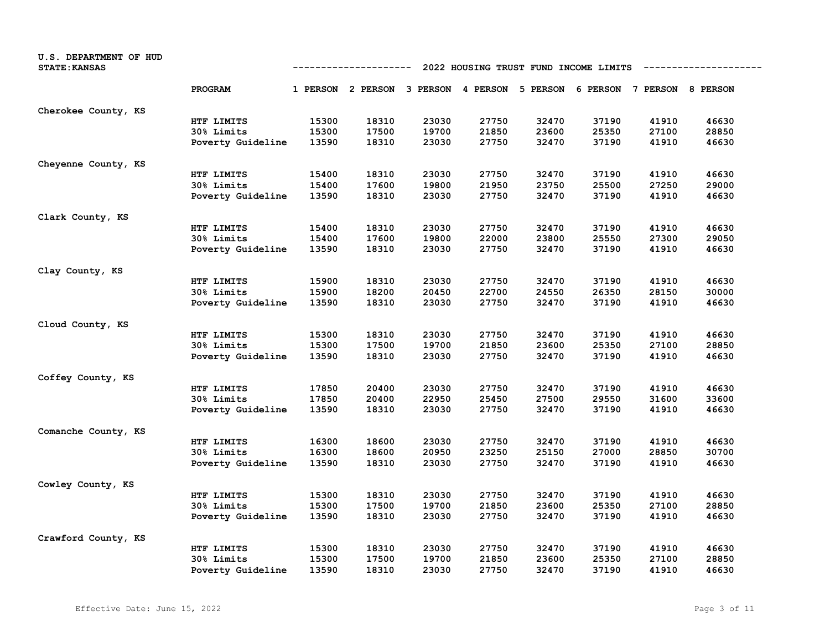| U.S. DEPARTMENT OF HUD<br><b>STATE: KANSAS</b> |                   | 2022 HOUSING TRUST FUND INCOME LIMITS<br>---------- |                                                                         |       |       |       |       |       |       |  |
|------------------------------------------------|-------------------|-----------------------------------------------------|-------------------------------------------------------------------------|-------|-------|-------|-------|-------|-------|--|
|                                                | PROGRAM           |                                                     | 1 PERSON 2 PERSON 3 PERSON 4 PERSON 5 PERSON 6 PERSON 7 PERSON 8 PERSON |       |       |       |       |       |       |  |
| Cherokee County, KS                            |                   |                                                     |                                                                         |       |       |       |       |       |       |  |
|                                                | HTF LIMITS        | 15300                                               | 18310                                                                   | 23030 | 27750 | 32470 | 37190 | 41910 | 46630 |  |
|                                                | 30% Limits        | 15300                                               | 17500                                                                   | 19700 | 21850 | 23600 | 25350 | 27100 | 28850 |  |
|                                                | Poverty Guideline | 13590                                               | 18310                                                                   | 23030 | 27750 | 32470 | 37190 | 41910 | 46630 |  |
| Cheyenne County, KS                            |                   |                                                     |                                                                         |       |       |       |       |       |       |  |
|                                                | HTF LIMITS        | 15400                                               | 18310                                                                   | 23030 | 27750 | 32470 | 37190 | 41910 | 46630 |  |
|                                                | 30% Limits        | 15400                                               | 17600                                                                   | 19800 | 21950 | 23750 | 25500 | 27250 | 29000 |  |
|                                                | Poverty Guideline | 13590                                               | 18310                                                                   | 23030 | 27750 | 32470 | 37190 | 41910 | 46630 |  |
| Clark County, KS                               |                   |                                                     |                                                                         |       |       |       |       |       |       |  |
|                                                | HTF LIMITS        | 15400                                               | 18310                                                                   | 23030 | 27750 | 32470 | 37190 | 41910 | 46630 |  |
|                                                | 30% Limits        | 15400                                               | 17600                                                                   | 19800 | 22000 | 23800 | 25550 | 27300 | 29050 |  |
|                                                | Poverty Guideline | 13590                                               | 18310                                                                   | 23030 | 27750 | 32470 | 37190 | 41910 | 46630 |  |
| Clay County, KS                                |                   |                                                     |                                                                         |       |       |       |       |       |       |  |
|                                                | HTF LIMITS        | 15900                                               | 18310                                                                   | 23030 | 27750 | 32470 | 37190 | 41910 | 46630 |  |
|                                                | 30% Limits        | 15900                                               | 18200                                                                   | 20450 | 22700 | 24550 | 26350 | 28150 | 30000 |  |
|                                                | Poverty Guideline | 13590                                               | 18310                                                                   | 23030 | 27750 | 32470 | 37190 | 41910 | 46630 |  |
| Cloud County, KS                               |                   |                                                     |                                                                         |       |       |       |       |       |       |  |
|                                                | HTF LIMITS        | 15300                                               | 18310                                                                   | 23030 | 27750 | 32470 | 37190 | 41910 | 46630 |  |
|                                                | 30% Limits        | 15300                                               | 17500                                                                   | 19700 | 21850 | 23600 | 25350 | 27100 | 28850 |  |
|                                                | Poverty Guideline | 13590                                               | 18310                                                                   | 23030 | 27750 | 32470 | 37190 | 41910 | 46630 |  |
| Coffey County, KS                              |                   |                                                     |                                                                         |       |       |       |       |       |       |  |
|                                                | HTF LIMITS        | 17850                                               | 20400                                                                   | 23030 | 27750 | 32470 | 37190 | 41910 | 46630 |  |
|                                                | 30% Limits        | 17850                                               | 20400                                                                   | 22950 | 25450 | 27500 | 29550 | 31600 | 33600 |  |
|                                                | Poverty Guideline | 13590                                               | 18310                                                                   | 23030 | 27750 | 32470 | 37190 | 41910 | 46630 |  |
| Comanche County, KS                            |                   |                                                     |                                                                         |       |       |       |       |       |       |  |
|                                                | HTF LIMITS        | 16300                                               | 18600                                                                   | 23030 | 27750 | 32470 | 37190 | 41910 | 46630 |  |
|                                                | 30% Limits        | 16300                                               | 18600                                                                   | 20950 | 23250 | 25150 | 27000 | 28850 | 30700 |  |
|                                                | Poverty Guideline | 13590                                               | 18310                                                                   | 23030 | 27750 | 32470 | 37190 | 41910 | 46630 |  |
| Cowley County, KS                              |                   |                                                     |                                                                         |       |       |       |       |       |       |  |
|                                                | HTF LIMITS        | 15300                                               | 18310                                                                   | 23030 | 27750 | 32470 | 37190 | 41910 | 46630 |  |
|                                                | 30% Limits        | 15300                                               | 17500                                                                   | 19700 | 21850 | 23600 | 25350 | 27100 | 28850 |  |
|                                                | Poverty Guideline | 13590                                               | 18310                                                                   | 23030 | 27750 | 32470 | 37190 | 41910 | 46630 |  |
| Crawford County, KS                            |                   |                                                     |                                                                         |       |       |       |       |       |       |  |
|                                                | HTF LIMITS        | 15300                                               | 18310                                                                   | 23030 | 27750 | 32470 | 37190 | 41910 | 46630 |  |
|                                                | 30% Limits        | 15300                                               | 17500                                                                   | 19700 | 21850 | 23600 | 25350 | 27100 | 28850 |  |
|                                                | Poverty Guideline | 13590                                               | 18310                                                                   | 23030 | 27750 | 32470 | 37190 | 41910 | 46630 |  |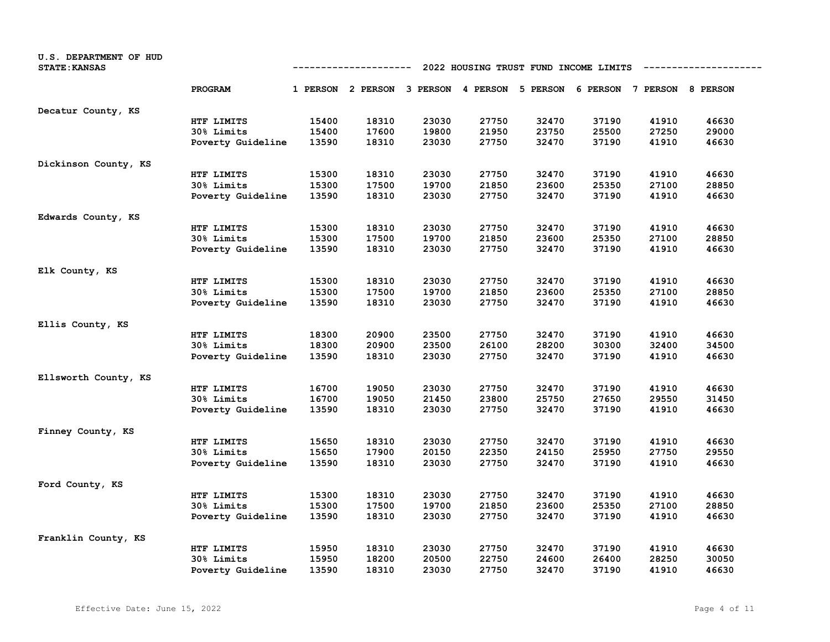| U.S. DEPARTMENT OF HUD<br><b>STATE: KANSAS</b> |                   | 2022 HOUSING TRUST FUND INCOME LIMITS<br>---------- |                                                                         |       |       |       |       |       |       |
|------------------------------------------------|-------------------|-----------------------------------------------------|-------------------------------------------------------------------------|-------|-------|-------|-------|-------|-------|
|                                                | PROGRAM           |                                                     | 1 PERSON 2 PERSON 3 PERSON 4 PERSON 5 PERSON 6 PERSON 7 PERSON 8 PERSON |       |       |       |       |       |       |
| Decatur County, KS                             |                   |                                                     |                                                                         |       |       |       |       |       |       |
|                                                | HTF LIMITS        | 15400                                               | 18310                                                                   | 23030 | 27750 | 32470 | 37190 | 41910 | 46630 |
|                                                | 30% Limits        | 15400                                               | 17600                                                                   | 19800 | 21950 | 23750 | 25500 | 27250 | 29000 |
|                                                | Poverty Guideline | 13590                                               | 18310                                                                   | 23030 | 27750 | 32470 | 37190 | 41910 | 46630 |
| Dickinson County, KS                           |                   |                                                     |                                                                         |       |       |       |       |       |       |
|                                                | HTF LIMITS        | 15300                                               | 18310                                                                   | 23030 | 27750 | 32470 | 37190 | 41910 | 46630 |
|                                                | 30% Limits        | 15300                                               | 17500                                                                   | 19700 | 21850 | 23600 | 25350 | 27100 | 28850 |
|                                                | Poverty Guideline | 13590                                               | 18310                                                                   | 23030 | 27750 | 32470 | 37190 | 41910 | 46630 |
| Edwards County, KS                             |                   |                                                     |                                                                         |       |       |       |       |       |       |
|                                                | HTF LIMITS        | 15300                                               | 18310                                                                   | 23030 | 27750 | 32470 | 37190 | 41910 | 46630 |
|                                                | 30% Limits        | 15300                                               | 17500                                                                   | 19700 | 21850 | 23600 | 25350 | 27100 | 28850 |
|                                                | Poverty Guideline | 13590                                               | 18310                                                                   | 23030 | 27750 | 32470 | 37190 | 41910 | 46630 |
| Elk County, KS                                 |                   |                                                     |                                                                         |       |       |       |       |       |       |
|                                                | HTF LIMITS        | 15300                                               | 18310                                                                   | 23030 | 27750 | 32470 | 37190 | 41910 | 46630 |
|                                                | 30% Limits        | 15300                                               | 17500                                                                   | 19700 | 21850 | 23600 | 25350 | 27100 | 28850 |
|                                                | Poverty Guideline | 13590                                               | 18310                                                                   | 23030 | 27750 | 32470 | 37190 | 41910 | 46630 |
| Ellis County, KS                               |                   |                                                     |                                                                         |       |       |       |       |       |       |
|                                                | HTF LIMITS        | 18300                                               | 20900                                                                   | 23500 | 27750 | 32470 | 37190 | 41910 | 46630 |
|                                                | 30% Limits        | 18300                                               | 20900                                                                   | 23500 | 26100 | 28200 | 30300 | 32400 | 34500 |
|                                                | Poverty Guideline | 13590                                               | 18310                                                                   | 23030 | 27750 | 32470 | 37190 | 41910 | 46630 |
| Ellsworth County, KS                           |                   |                                                     |                                                                         |       |       |       |       |       |       |
|                                                | HTF LIMITS        | 16700                                               | 19050                                                                   | 23030 | 27750 | 32470 | 37190 | 41910 | 46630 |
|                                                | 30% Limits        | 16700                                               | 19050                                                                   | 21450 | 23800 | 25750 | 27650 | 29550 | 31450 |
|                                                | Poverty Guideline | 13590                                               | 18310                                                                   | 23030 | 27750 | 32470 | 37190 | 41910 | 46630 |
| Finney County, KS                              |                   |                                                     |                                                                         |       |       |       |       |       |       |
|                                                | HTF LIMITS        | 15650                                               | 18310                                                                   | 23030 | 27750 | 32470 | 37190 | 41910 | 46630 |
|                                                | 30% Limits        | 15650                                               | 17900                                                                   | 20150 | 22350 | 24150 | 25950 | 27750 | 29550 |
|                                                | Poverty Guideline | 13590                                               | 18310                                                                   | 23030 | 27750 | 32470 | 37190 | 41910 | 46630 |
| Ford County, KS                                |                   |                                                     |                                                                         |       |       |       |       |       |       |
|                                                | HTF LIMITS        | 15300                                               | 18310                                                                   | 23030 | 27750 | 32470 | 37190 | 41910 | 46630 |
|                                                | 30% Limits        | 15300                                               | 17500                                                                   | 19700 | 21850 | 23600 | 25350 | 27100 | 28850 |
|                                                | Poverty Guideline | 13590                                               | 18310                                                                   | 23030 | 27750 | 32470 | 37190 | 41910 | 46630 |
| Franklin County, KS                            |                   |                                                     |                                                                         |       |       |       |       |       |       |
|                                                | HTF LIMITS        | 15950                                               | 18310                                                                   | 23030 | 27750 | 32470 | 37190 | 41910 | 46630 |
|                                                | 30% Limits        | 15950                                               | 18200                                                                   | 20500 | 22750 | 24600 | 26400 | 28250 | 30050 |
|                                                | Poverty Guideline | 13590                                               | 18310                                                                   | 23030 | 27750 | 32470 | 37190 | 41910 | 46630 |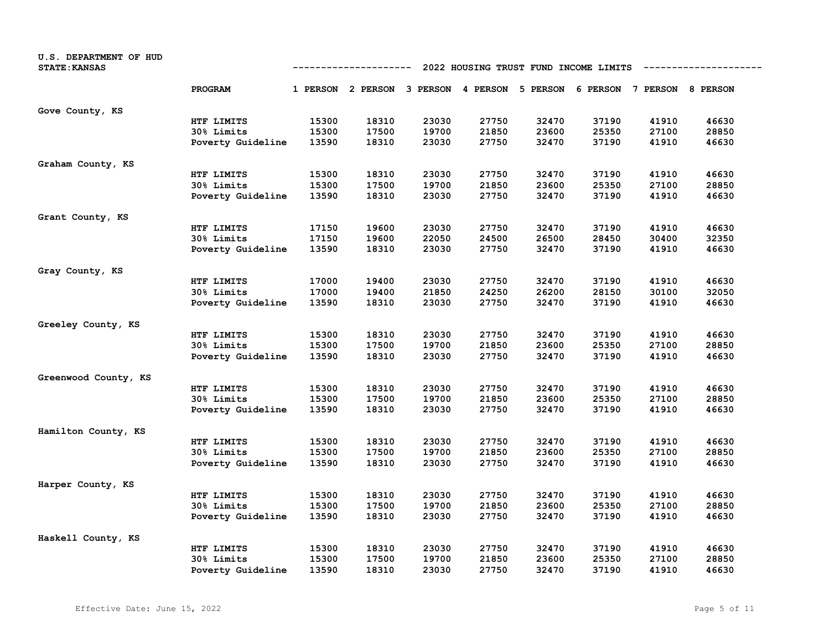| U.S. DEPARTMENT OF HUD<br><b>STATE: KANSAS</b> |                   | 2022 HOUSING TRUST FUND INCOME LIMITS<br>---------- |                                                                         |       |       |       |       |       |       |  |
|------------------------------------------------|-------------------|-----------------------------------------------------|-------------------------------------------------------------------------|-------|-------|-------|-------|-------|-------|--|
|                                                | PROGRAM           |                                                     | 1 PERSON 2 PERSON 3 PERSON 4 PERSON 5 PERSON 6 PERSON 7 PERSON 8 PERSON |       |       |       |       |       |       |  |
| Gove County, KS                                |                   |                                                     |                                                                         |       |       |       |       |       |       |  |
|                                                | HTF LIMITS        | 15300                                               | 18310                                                                   | 23030 | 27750 | 32470 | 37190 | 41910 | 46630 |  |
|                                                | 30% Limits        | 15300                                               | 17500                                                                   | 19700 | 21850 | 23600 | 25350 | 27100 | 28850 |  |
|                                                | Poverty Guideline | 13590                                               | 18310                                                                   | 23030 | 27750 | 32470 | 37190 | 41910 | 46630 |  |
| Graham County, KS                              |                   |                                                     |                                                                         |       |       |       |       |       |       |  |
|                                                | HTF LIMITS        | 15300                                               | 18310                                                                   | 23030 | 27750 | 32470 | 37190 | 41910 | 46630 |  |
|                                                | 30% Limits        | 15300                                               | 17500                                                                   | 19700 | 21850 | 23600 | 25350 | 27100 | 28850 |  |
|                                                | Poverty Guideline | 13590                                               | 18310                                                                   | 23030 | 27750 | 32470 | 37190 | 41910 | 46630 |  |
| Grant County, KS                               |                   |                                                     |                                                                         |       |       |       |       |       |       |  |
|                                                | HTF LIMITS        | 17150                                               | 19600                                                                   | 23030 | 27750 | 32470 | 37190 | 41910 | 46630 |  |
|                                                | 30% Limits        | 17150                                               | 19600                                                                   | 22050 | 24500 | 26500 | 28450 | 30400 | 32350 |  |
|                                                | Poverty Guideline | 13590                                               | 18310                                                                   | 23030 | 27750 | 32470 | 37190 | 41910 | 46630 |  |
| Gray County, KS                                |                   |                                                     |                                                                         |       |       |       |       |       |       |  |
|                                                | HTF LIMITS        | 17000                                               | 19400                                                                   | 23030 | 27750 | 32470 | 37190 | 41910 | 46630 |  |
|                                                | 30% Limits        | 17000                                               | 19400                                                                   | 21850 | 24250 | 26200 | 28150 | 30100 | 32050 |  |
|                                                | Poverty Guideline | 13590                                               | 18310                                                                   | 23030 | 27750 | 32470 | 37190 | 41910 | 46630 |  |
| Greeley County, KS                             |                   |                                                     |                                                                         |       |       |       |       |       |       |  |
|                                                | HTF LIMITS        | 15300                                               | 18310                                                                   | 23030 | 27750 | 32470 | 37190 | 41910 | 46630 |  |
|                                                | 30% Limits        | 15300                                               | 17500                                                                   | 19700 | 21850 | 23600 | 25350 | 27100 | 28850 |  |
|                                                | Poverty Guideline | 13590                                               | 18310                                                                   | 23030 | 27750 | 32470 | 37190 | 41910 | 46630 |  |
| Greenwood County, KS                           |                   |                                                     |                                                                         |       |       |       |       |       |       |  |
|                                                | HTF LIMITS        | 15300                                               | 18310                                                                   | 23030 | 27750 | 32470 | 37190 | 41910 | 46630 |  |
|                                                | 30% Limits        | 15300                                               | 17500                                                                   | 19700 | 21850 | 23600 | 25350 | 27100 | 28850 |  |
|                                                | Poverty Guideline | 13590                                               | 18310                                                                   | 23030 | 27750 | 32470 | 37190 | 41910 | 46630 |  |
| Hamilton County, KS                            |                   |                                                     |                                                                         |       |       |       |       |       |       |  |
|                                                | HTF LIMITS        | 15300                                               | 18310                                                                   | 23030 | 27750 | 32470 | 37190 | 41910 | 46630 |  |
|                                                | 30% Limits        | 15300                                               | 17500                                                                   | 19700 | 21850 | 23600 | 25350 | 27100 | 28850 |  |
|                                                | Poverty Guideline | 13590                                               | 18310                                                                   | 23030 | 27750 | 32470 | 37190 | 41910 | 46630 |  |
| Harper County, KS                              |                   |                                                     |                                                                         |       |       |       |       |       |       |  |
|                                                | HTF LIMITS        | 15300                                               | 18310                                                                   | 23030 | 27750 | 32470 | 37190 | 41910 | 46630 |  |
|                                                | 30% Limits        | 15300                                               | 17500                                                                   | 19700 | 21850 | 23600 | 25350 | 27100 | 28850 |  |
|                                                | Poverty Guideline | 13590                                               | 18310                                                                   | 23030 | 27750 | 32470 | 37190 | 41910 | 46630 |  |
| Haskell County, KS                             |                   |                                                     |                                                                         |       |       |       |       |       |       |  |
|                                                | HTF LIMITS        | 15300                                               | 18310                                                                   | 23030 | 27750 | 32470 | 37190 | 41910 | 46630 |  |
|                                                | 30% Limits        | 15300                                               | 17500                                                                   | 19700 | 21850 | 23600 | 25350 | 27100 | 28850 |  |
|                                                | Poverty Guideline | 13590                                               | 18310                                                                   | 23030 | 27750 | 32470 | 37190 | 41910 | 46630 |  |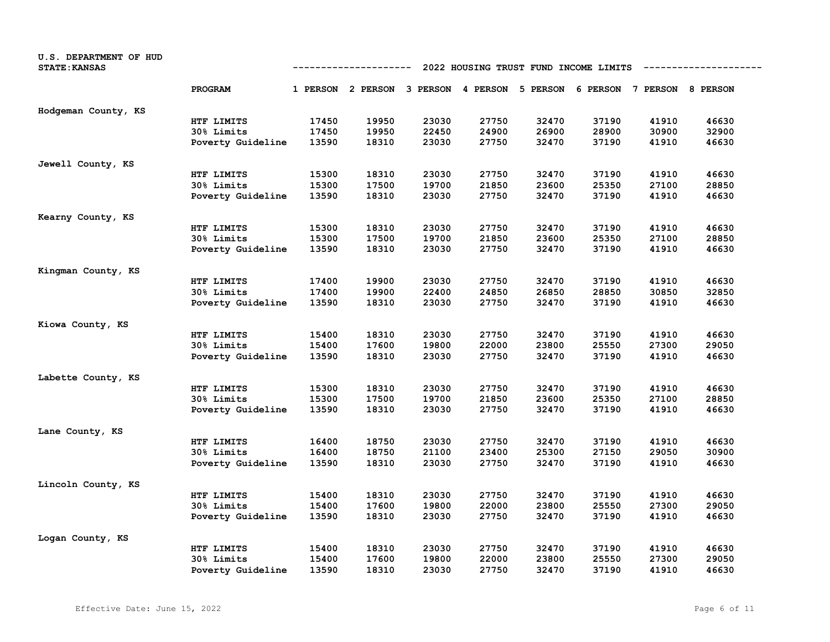| U.S. DEPARTMENT OF HUD<br><b>STATE: KANSAS</b> |                   | 2022 HOUSING TRUST FUND INCOME LIMITS<br>---------- |                                                                         |       |       |       |       |       |       |
|------------------------------------------------|-------------------|-----------------------------------------------------|-------------------------------------------------------------------------|-------|-------|-------|-------|-------|-------|
|                                                | PROGRAM           |                                                     | 1 PERSON 2 PERSON 3 PERSON 4 PERSON 5 PERSON 6 PERSON 7 PERSON 8 PERSON |       |       |       |       |       |       |
| Hodgeman County, KS                            |                   |                                                     |                                                                         |       |       |       |       |       |       |
|                                                | HTF LIMITS        | 17450                                               | 19950                                                                   | 23030 | 27750 | 32470 | 37190 | 41910 | 46630 |
|                                                | 30% Limits        | 17450                                               | 19950                                                                   | 22450 | 24900 | 26900 | 28900 | 30900 | 32900 |
|                                                | Poverty Guideline | 13590                                               | 18310                                                                   | 23030 | 27750 | 32470 | 37190 | 41910 | 46630 |
| Jewell County, KS                              |                   |                                                     |                                                                         |       |       |       |       |       |       |
|                                                | HTF LIMITS        | 15300                                               | 18310                                                                   | 23030 | 27750 | 32470 | 37190 | 41910 | 46630 |
|                                                | 30% Limits        | 15300                                               | 17500                                                                   | 19700 | 21850 | 23600 | 25350 | 27100 | 28850 |
|                                                | Poverty Guideline | 13590                                               | 18310                                                                   | 23030 | 27750 | 32470 | 37190 | 41910 | 46630 |
| Kearny County, KS                              |                   |                                                     |                                                                         |       |       |       |       |       |       |
|                                                | HTF LIMITS        | 15300                                               | 18310                                                                   | 23030 | 27750 | 32470 | 37190 | 41910 | 46630 |
|                                                | <b>30% Limits</b> | 15300                                               | 17500                                                                   | 19700 | 21850 | 23600 | 25350 | 27100 | 28850 |
|                                                | Poverty Guideline | 13590                                               | 18310                                                                   | 23030 | 27750 | 32470 | 37190 | 41910 | 46630 |
| Kingman County, KS                             |                   |                                                     |                                                                         |       |       |       |       |       |       |
|                                                | HTF LIMITS        | 17400                                               | 19900                                                                   | 23030 | 27750 | 32470 | 37190 | 41910 | 46630 |
|                                                | 30% Limits        | 17400                                               | 19900                                                                   | 22400 | 24850 | 26850 | 28850 | 30850 | 32850 |
|                                                | Poverty Guideline | 13590                                               | 18310                                                                   | 23030 | 27750 | 32470 | 37190 | 41910 | 46630 |
| Kiowa County, KS                               |                   |                                                     |                                                                         |       |       |       |       |       |       |
|                                                | HTF LIMITS        | 15400                                               | 18310                                                                   | 23030 | 27750 | 32470 | 37190 | 41910 | 46630 |
|                                                | 30% Limits        | 15400                                               | 17600                                                                   | 19800 | 22000 | 23800 | 25550 | 27300 | 29050 |
|                                                | Poverty Guideline | 13590                                               | 18310                                                                   | 23030 | 27750 | 32470 | 37190 | 41910 | 46630 |
| Labette County, KS                             |                   |                                                     |                                                                         |       |       |       |       |       |       |
|                                                | HTF LIMITS        | 15300                                               | 18310                                                                   | 23030 | 27750 | 32470 | 37190 | 41910 | 46630 |
|                                                | 30% Limits        | 15300                                               | 17500                                                                   | 19700 | 21850 | 23600 | 25350 | 27100 | 28850 |
|                                                | Poverty Guideline | 13590                                               | 18310                                                                   | 23030 | 27750 | 32470 | 37190 | 41910 | 46630 |
| Lane County, KS                                |                   |                                                     |                                                                         |       |       |       |       |       |       |
|                                                | HTF LIMITS        | 16400                                               | 18750                                                                   | 23030 | 27750 | 32470 | 37190 | 41910 | 46630 |
|                                                | 30% Limits        | 16400                                               | 18750                                                                   | 21100 | 23400 | 25300 | 27150 | 29050 | 30900 |
|                                                | Poverty Guideline | 13590                                               | 18310                                                                   | 23030 | 27750 | 32470 | 37190 | 41910 | 46630 |
| Lincoln County, KS                             |                   |                                                     |                                                                         |       |       |       |       |       |       |
|                                                | HTF LIMITS        | 15400                                               | 18310                                                                   | 23030 | 27750 | 32470 | 37190 | 41910 | 46630 |
|                                                | 30% Limits        | 15400                                               | 17600                                                                   | 19800 | 22000 | 23800 | 25550 | 27300 | 29050 |
|                                                | Poverty Guideline | 13590                                               | 18310                                                                   | 23030 | 27750 | 32470 | 37190 | 41910 | 46630 |
| Logan County, KS                               |                   |                                                     |                                                                         |       |       |       |       |       |       |
|                                                | HTF LIMITS        | 15400                                               | 18310                                                                   | 23030 | 27750 | 32470 | 37190 | 41910 | 46630 |
|                                                | <b>30% Limits</b> | 15400                                               | 17600                                                                   | 19800 | 22000 | 23800 | 25550 | 27300 | 29050 |
|                                                | Poverty Guideline | 13590                                               | 18310                                                                   | 23030 | 27750 | 32470 | 37190 | 41910 | 46630 |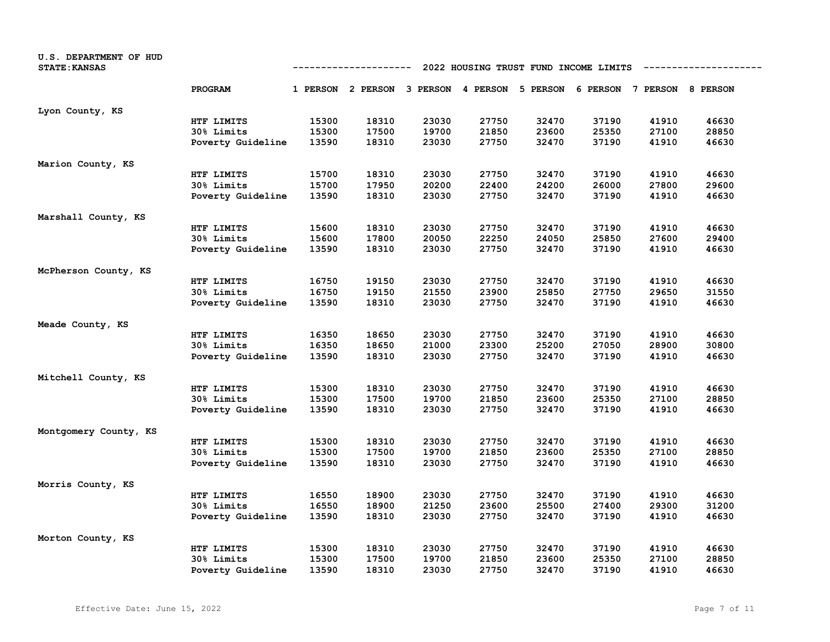| U.S. DEPARTMENT OF HUD<br><b>STATE: KANSAS</b> |                   | 2022 HOUSING TRUST FUND INCOME LIMITS<br>---------- |                                                                         |       |       |       |       |       |       |
|------------------------------------------------|-------------------|-----------------------------------------------------|-------------------------------------------------------------------------|-------|-------|-------|-------|-------|-------|
|                                                | PROGRAM           |                                                     | 1 PERSON 2 PERSON 3 PERSON 4 PERSON 5 PERSON 6 PERSON 7 PERSON 8 PERSON |       |       |       |       |       |       |
| Lyon County, KS                                |                   |                                                     |                                                                         |       |       |       |       |       |       |
|                                                | HTF LIMITS        | 15300                                               | 18310                                                                   | 23030 | 27750 | 32470 | 37190 | 41910 | 46630 |
|                                                | 30% Limits        | 15300                                               | 17500                                                                   | 19700 | 21850 | 23600 | 25350 | 27100 | 28850 |
|                                                | Poverty Guideline | 13590                                               | 18310                                                                   | 23030 | 27750 | 32470 | 37190 | 41910 | 46630 |
| Marion County, KS                              |                   |                                                     |                                                                         |       |       |       |       |       |       |
|                                                | HTF LIMITS        | 15700                                               | 18310                                                                   | 23030 | 27750 | 32470 | 37190 | 41910 | 46630 |
|                                                | 30% Limits        | 15700                                               | 17950                                                                   | 20200 | 22400 | 24200 | 26000 | 27800 | 29600 |
|                                                | Poverty Guideline | 13590                                               | 18310                                                                   | 23030 | 27750 | 32470 | 37190 | 41910 | 46630 |
| Marshall County, KS                            |                   |                                                     |                                                                         |       |       |       |       |       |       |
|                                                | HTF LIMITS        | 15600                                               | 18310                                                                   | 23030 | 27750 | 32470 | 37190 | 41910 | 46630 |
|                                                | 30% Limits        | 15600                                               | 17800                                                                   | 20050 | 22250 | 24050 | 25850 | 27600 | 29400 |
|                                                | Poverty Guideline | 13590                                               | 18310                                                                   | 23030 | 27750 | 32470 | 37190 | 41910 | 46630 |
| McPherson County, KS                           |                   |                                                     |                                                                         |       |       |       |       |       |       |
|                                                | HTF LIMITS        | 16750                                               | 19150                                                                   | 23030 | 27750 | 32470 | 37190 | 41910 | 46630 |
|                                                | 30% Limits        | 16750                                               | 19150                                                                   | 21550 | 23900 | 25850 | 27750 | 29650 | 31550 |
|                                                | Poverty Guideline | 13590                                               | 18310                                                                   | 23030 | 27750 | 32470 | 37190 | 41910 | 46630 |
| Meade County, KS                               |                   |                                                     |                                                                         |       |       |       |       |       |       |
|                                                | HTF LIMITS        | 16350                                               | 18650                                                                   | 23030 | 27750 | 32470 | 37190 | 41910 | 46630 |
|                                                | 30% Limits        | 16350                                               | 18650                                                                   | 21000 | 23300 | 25200 | 27050 | 28900 | 30800 |
|                                                | Poverty Guideline | 13590                                               | 18310                                                                   | 23030 | 27750 | 32470 | 37190 | 41910 | 46630 |
| Mitchell County, KS                            |                   |                                                     |                                                                         |       |       |       |       |       |       |
|                                                | HTF LIMITS        | 15300                                               | 18310                                                                   | 23030 | 27750 | 32470 | 37190 | 41910 | 46630 |
|                                                | <b>30% Limits</b> | 15300                                               | 17500                                                                   | 19700 | 21850 | 23600 | 25350 | 27100 | 28850 |
|                                                | Poverty Guideline | 13590                                               | 18310                                                                   | 23030 | 27750 | 32470 | 37190 | 41910 | 46630 |
| Montgomery County, KS                          |                   |                                                     |                                                                         |       |       |       |       |       |       |
|                                                | HTF LIMITS        | 15300                                               | 18310                                                                   | 23030 | 27750 | 32470 | 37190 | 41910 | 46630 |
|                                                | 30% Limits        | 15300                                               | 17500                                                                   | 19700 | 21850 | 23600 | 25350 | 27100 | 28850 |
|                                                | Poverty Guideline | 13590                                               | 18310                                                                   | 23030 | 27750 | 32470 | 37190 | 41910 | 46630 |
| Morris County, KS                              |                   |                                                     |                                                                         |       |       |       |       |       |       |
|                                                | HTF LIMITS        | 16550                                               | 18900                                                                   | 23030 | 27750 | 32470 | 37190 | 41910 | 46630 |
|                                                | 30% Limits        | 16550                                               | 18900                                                                   | 21250 | 23600 | 25500 | 27400 | 29300 | 31200 |
|                                                | Poverty Guideline | 13590                                               | 18310                                                                   | 23030 | 27750 | 32470 | 37190 | 41910 | 46630 |
| Morton County, KS                              |                   |                                                     |                                                                         |       |       |       |       |       |       |
|                                                | HTF LIMITS        | 15300                                               | 18310                                                                   | 23030 | 27750 | 32470 | 37190 | 41910 | 46630 |
|                                                | 30% Limits        | 15300                                               | 17500                                                                   | 19700 | 21850 | 23600 | 25350 | 27100 | 28850 |
|                                                | Poverty Guideline | 13590                                               | 18310                                                                   | 23030 | 27750 | 32470 | 37190 | 41910 | 46630 |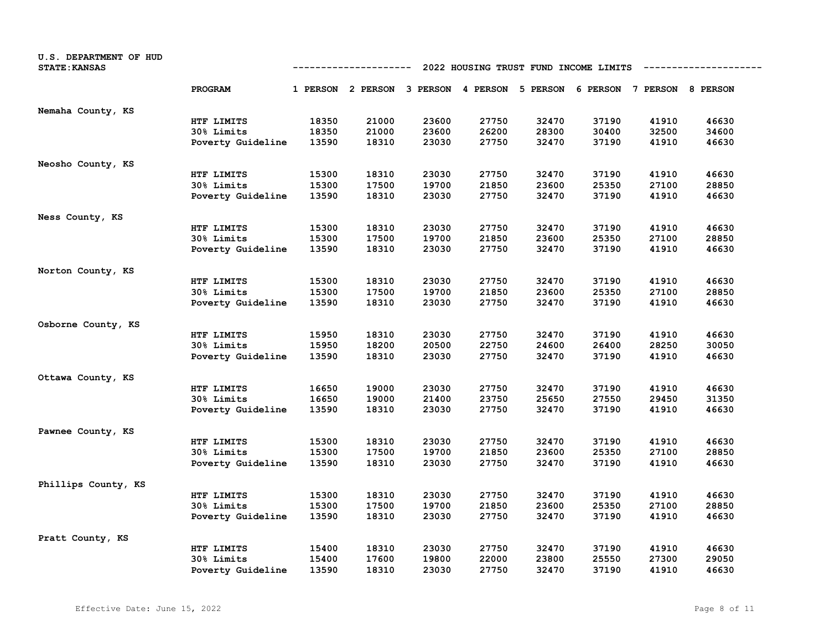| U.S. DEPARTMENT OF HUD<br><b>STATE: KANSAS</b> |                   | 2022 HOUSING TRUST FUND INCOME LIMITS<br>---------- |                                                                         |       |       |       |       |       |       |
|------------------------------------------------|-------------------|-----------------------------------------------------|-------------------------------------------------------------------------|-------|-------|-------|-------|-------|-------|
|                                                | PROGRAM           |                                                     | 1 PERSON 2 PERSON 3 PERSON 4 PERSON 5 PERSON 6 PERSON 7 PERSON 8 PERSON |       |       |       |       |       |       |
| Nemaha County, KS                              |                   |                                                     |                                                                         |       |       |       |       |       |       |
|                                                | HTF LIMITS        | 18350                                               | 21000                                                                   | 23600 | 27750 | 32470 | 37190 | 41910 | 46630 |
|                                                | 30% Limits        | 18350                                               | 21000                                                                   | 23600 | 26200 | 28300 | 30400 | 32500 | 34600 |
|                                                | Poverty Guideline | 13590                                               | 18310                                                                   | 23030 | 27750 | 32470 | 37190 | 41910 | 46630 |
| Neosho County, KS                              |                   |                                                     |                                                                         |       |       |       |       |       |       |
|                                                | HTF LIMITS        | 15300                                               | 18310                                                                   | 23030 | 27750 | 32470 | 37190 | 41910 | 46630 |
|                                                | 30% Limits        | 15300                                               | 17500                                                                   | 19700 | 21850 | 23600 | 25350 | 27100 | 28850 |
|                                                | Poverty Guideline | 13590                                               | 18310                                                                   | 23030 | 27750 | 32470 | 37190 | 41910 | 46630 |
| Ness County, KS                                |                   |                                                     |                                                                         |       |       |       |       |       |       |
|                                                | HTF LIMITS        | 15300                                               | 18310                                                                   | 23030 | 27750 | 32470 | 37190 | 41910 | 46630 |
|                                                | 30% Limits        | 15300                                               | 17500                                                                   | 19700 | 21850 | 23600 | 25350 | 27100 | 28850 |
|                                                | Poverty Guideline | 13590                                               | 18310                                                                   | 23030 | 27750 | 32470 | 37190 | 41910 | 46630 |
| Norton County, KS                              |                   |                                                     |                                                                         |       |       |       |       |       |       |
|                                                | HTF LIMITS        | 15300                                               | 18310                                                                   | 23030 | 27750 | 32470 | 37190 | 41910 | 46630 |
|                                                | 30% Limits        | 15300                                               | 17500                                                                   | 19700 | 21850 | 23600 | 25350 | 27100 | 28850 |
|                                                | Poverty Guideline | 13590                                               | 18310                                                                   | 23030 | 27750 | 32470 | 37190 | 41910 | 46630 |
| Osborne County, KS                             |                   |                                                     |                                                                         |       |       |       |       |       |       |
|                                                | HTF LIMITS        | 15950                                               | 18310                                                                   | 23030 | 27750 | 32470 | 37190 | 41910 | 46630 |
|                                                | 30% Limits        | 15950                                               | 18200                                                                   | 20500 | 22750 | 24600 | 26400 | 28250 | 30050 |
|                                                | Poverty Guideline | 13590                                               | 18310                                                                   | 23030 | 27750 | 32470 | 37190 | 41910 | 46630 |
| Ottawa County, KS                              |                   |                                                     |                                                                         |       |       |       |       |       |       |
|                                                | HTF LIMITS        | 16650                                               | 19000                                                                   | 23030 | 27750 | 32470 | 37190 | 41910 | 46630 |
|                                                | <b>30% Limits</b> | 16650                                               | 19000                                                                   | 21400 | 23750 | 25650 | 27550 | 29450 | 31350 |
|                                                | Poverty Guideline | 13590                                               | 18310                                                                   | 23030 | 27750 | 32470 | 37190 | 41910 | 46630 |
| Pawnee County, KS                              |                   |                                                     |                                                                         |       |       |       |       |       |       |
|                                                | HTF LIMITS        | 15300                                               | 18310                                                                   | 23030 | 27750 | 32470 | 37190 | 41910 | 46630 |
|                                                | 30% Limits        | 15300                                               | 17500                                                                   | 19700 | 21850 | 23600 | 25350 | 27100 | 28850 |
|                                                | Poverty Guideline | 13590                                               | 18310                                                                   | 23030 | 27750 | 32470 | 37190 | 41910 | 46630 |
| Phillips County, KS                            |                   |                                                     |                                                                         |       |       |       |       |       |       |
|                                                | HTF LIMITS        | 15300                                               | 18310                                                                   | 23030 | 27750 | 32470 | 37190 | 41910 | 46630 |
|                                                | 30% Limits        | 15300                                               | 17500                                                                   | 19700 | 21850 | 23600 | 25350 | 27100 | 28850 |
|                                                | Poverty Guideline | 13590                                               | 18310                                                                   | 23030 | 27750 | 32470 | 37190 | 41910 | 46630 |
| Pratt County, KS                               |                   |                                                     |                                                                         |       |       |       |       |       |       |
|                                                | HTF LIMITS        | 15400                                               | 18310                                                                   | 23030 | 27750 | 32470 | 37190 | 41910 | 46630 |
|                                                | 30% Limits        | 15400                                               | 17600                                                                   | 19800 | 22000 | 23800 | 25550 | 27300 | 29050 |
|                                                | Poverty Guideline | 13590                                               | 18310                                                                   | 23030 | 27750 | 32470 | 37190 | 41910 | 46630 |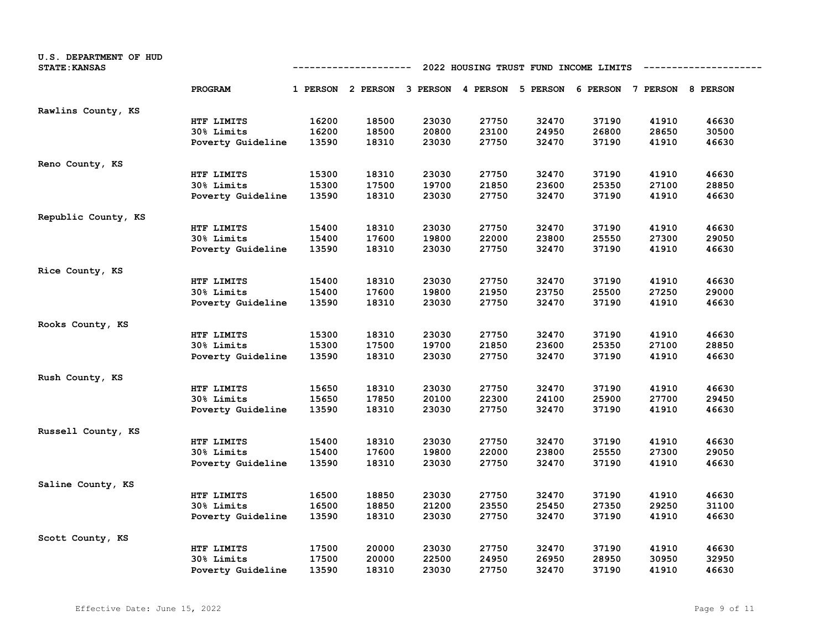| U.S. DEPARTMENT OF HUD<br><b>STATE: KANSAS</b> |                   | 2022 HOUSING TRUST FUND INCOME LIMITS<br>---------- |                                                                         |       |       |       |       |       |       |
|------------------------------------------------|-------------------|-----------------------------------------------------|-------------------------------------------------------------------------|-------|-------|-------|-------|-------|-------|
|                                                | PROGRAM           |                                                     | 1 PERSON 2 PERSON 3 PERSON 4 PERSON 5 PERSON 6 PERSON 7 PERSON 8 PERSON |       |       |       |       |       |       |
| Rawlins County, KS                             |                   |                                                     |                                                                         |       |       |       |       |       |       |
|                                                | HTF LIMITS        | 16200                                               | 18500                                                                   | 23030 | 27750 | 32470 | 37190 | 41910 | 46630 |
|                                                | 30% Limits        | 16200                                               | 18500                                                                   | 20800 | 23100 | 24950 | 26800 | 28650 | 30500 |
|                                                | Poverty Guideline | 13590                                               | 18310                                                                   | 23030 | 27750 | 32470 | 37190 | 41910 | 46630 |
| Reno County, KS                                |                   |                                                     |                                                                         |       |       |       |       |       |       |
|                                                | HTF LIMITS        | 15300                                               | 18310                                                                   | 23030 | 27750 | 32470 | 37190 | 41910 | 46630 |
|                                                | 30% Limits        | 15300                                               | 17500                                                                   | 19700 | 21850 | 23600 | 25350 | 27100 | 28850 |
|                                                | Poverty Guideline | 13590                                               | 18310                                                                   | 23030 | 27750 | 32470 | 37190 | 41910 | 46630 |
| Republic County, KS                            |                   |                                                     |                                                                         |       |       |       |       |       |       |
|                                                | HTF LIMITS        | 15400                                               | 18310                                                                   | 23030 | 27750 | 32470 | 37190 | 41910 | 46630 |
|                                                | 30% Limits        | 15400                                               | 17600                                                                   | 19800 | 22000 | 23800 | 25550 | 27300 | 29050 |
|                                                | Poverty Guideline | 13590                                               | 18310                                                                   | 23030 | 27750 | 32470 | 37190 | 41910 | 46630 |
| Rice County, KS                                |                   |                                                     |                                                                         |       |       |       |       |       |       |
|                                                | HTF LIMITS        | 15400                                               | 18310                                                                   | 23030 | 27750 | 32470 | 37190 | 41910 | 46630 |
|                                                | 30% Limits        | 15400                                               | 17600                                                                   | 19800 | 21950 | 23750 | 25500 | 27250 | 29000 |
|                                                | Poverty Guideline | 13590                                               | 18310                                                                   | 23030 | 27750 | 32470 | 37190 | 41910 | 46630 |
| Rooks County, KS                               |                   |                                                     |                                                                         |       |       |       |       |       |       |
|                                                | HTF LIMITS        | 15300                                               | 18310                                                                   | 23030 | 27750 | 32470 | 37190 | 41910 | 46630 |
|                                                | 30% Limits        | 15300                                               | 17500                                                                   | 19700 | 21850 | 23600 | 25350 | 27100 | 28850 |
|                                                | Poverty Guideline | 13590                                               | 18310                                                                   | 23030 | 27750 | 32470 | 37190 | 41910 | 46630 |
| Rush County, KS                                |                   |                                                     |                                                                         |       |       |       |       |       |       |
|                                                | HTF LIMITS        | 15650                                               | 18310                                                                   | 23030 | 27750 | 32470 | 37190 | 41910 | 46630 |
|                                                | <b>30% Limits</b> | 15650                                               | 17850                                                                   | 20100 | 22300 | 24100 | 25900 | 27700 | 29450 |
|                                                | Poverty Guideline | 13590                                               | 18310                                                                   | 23030 | 27750 | 32470 | 37190 | 41910 | 46630 |
| Russell County, KS                             |                   |                                                     |                                                                         |       |       |       |       |       |       |
|                                                | HTF LIMITS        | 15400                                               | 18310                                                                   | 23030 | 27750 | 32470 | 37190 | 41910 | 46630 |
|                                                | 30% Limits        | 15400                                               | 17600                                                                   | 19800 | 22000 | 23800 | 25550 | 27300 | 29050 |
|                                                | Poverty Guideline | 13590                                               | 18310                                                                   | 23030 | 27750 | 32470 | 37190 | 41910 | 46630 |
| Saline County, KS                              |                   |                                                     |                                                                         |       |       |       |       |       |       |
|                                                | HTF LIMITS        | 16500                                               | 18850                                                                   | 23030 | 27750 | 32470 | 37190 | 41910 | 46630 |
|                                                | 30% Limits        | 16500                                               | 18850                                                                   | 21200 | 23550 | 25450 | 27350 | 29250 | 31100 |
|                                                | Poverty Guideline | 13590                                               | 18310                                                                   | 23030 | 27750 | 32470 | 37190 | 41910 | 46630 |
| Scott County, KS                               |                   |                                                     |                                                                         |       |       |       |       |       |       |
|                                                | HTF LIMITS        | 17500                                               | 20000                                                                   | 23030 | 27750 | 32470 | 37190 | 41910 | 46630 |
|                                                | 30% Limits        | 17500                                               | 20000                                                                   | 22500 | 24950 | 26950 | 28950 | 30950 | 32950 |
|                                                | Poverty Guideline | 13590                                               | 18310                                                                   | 23030 | 27750 | 32470 | 37190 | 41910 | 46630 |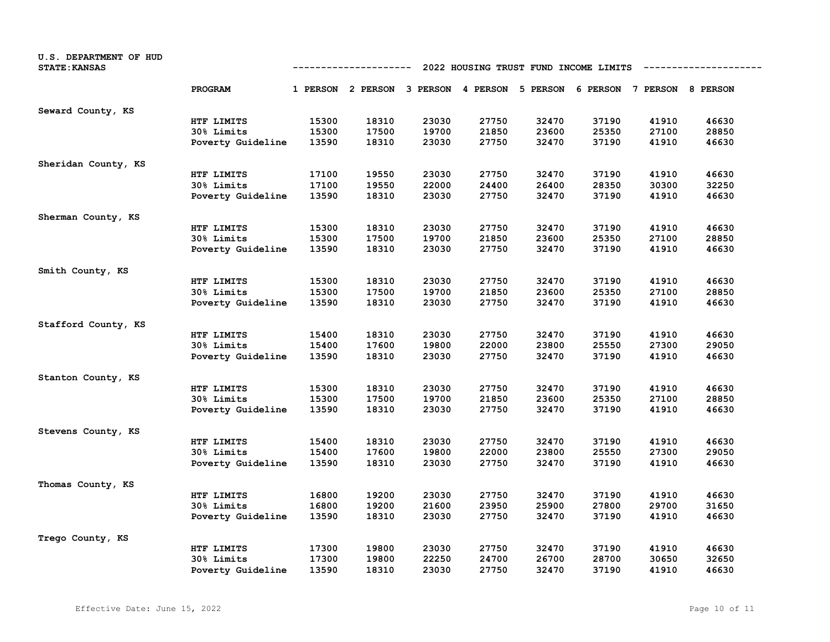| U.S. DEPARTMENT OF HUD<br><b>STATE: KANSAS</b> |                   | 2022 HOUSING TRUST FUND INCOME LIMITS<br>---------- |                                                                         |       |       |       |       |       |       |
|------------------------------------------------|-------------------|-----------------------------------------------------|-------------------------------------------------------------------------|-------|-------|-------|-------|-------|-------|
|                                                | PROGRAM           |                                                     | 1 PERSON 2 PERSON 3 PERSON 4 PERSON 5 PERSON 6 PERSON 7 PERSON 8 PERSON |       |       |       |       |       |       |
| Seward County, KS                              |                   |                                                     |                                                                         |       |       |       |       |       |       |
|                                                | HTF LIMITS        | 15300                                               | 18310                                                                   | 23030 | 27750 | 32470 | 37190 | 41910 | 46630 |
|                                                | 30% Limits        | 15300                                               | 17500                                                                   | 19700 | 21850 | 23600 | 25350 | 27100 | 28850 |
|                                                | Poverty Guideline | 13590                                               | 18310                                                                   | 23030 | 27750 | 32470 | 37190 | 41910 | 46630 |
| Sheridan County, KS                            |                   |                                                     |                                                                         |       |       |       |       |       |       |
|                                                | HTF LIMITS        | 17100                                               | 19550                                                                   | 23030 | 27750 | 32470 | 37190 | 41910 | 46630 |
|                                                | 30% Limits        | 17100                                               | 19550                                                                   | 22000 | 24400 | 26400 | 28350 | 30300 | 32250 |
|                                                | Poverty Guideline | 13590                                               | 18310                                                                   | 23030 | 27750 | 32470 | 37190 | 41910 | 46630 |
| Sherman County, KS                             |                   |                                                     |                                                                         |       |       |       |       |       |       |
|                                                | HTF LIMITS        | 15300                                               | 18310                                                                   | 23030 | 27750 | 32470 | 37190 | 41910 | 46630 |
|                                                | 30% Limits        | 15300                                               | 17500                                                                   | 19700 | 21850 | 23600 | 25350 | 27100 | 28850 |
|                                                | Poverty Guideline | 13590                                               | 18310                                                                   | 23030 | 27750 | 32470 | 37190 | 41910 | 46630 |
| Smith County, KS                               |                   |                                                     |                                                                         |       |       |       |       |       |       |
|                                                | HTF LIMITS        | 15300                                               | 18310                                                                   | 23030 | 27750 | 32470 | 37190 | 41910 | 46630 |
|                                                | 30% Limits        | 15300                                               | 17500                                                                   | 19700 | 21850 | 23600 | 25350 | 27100 | 28850 |
|                                                | Poverty Guideline | 13590                                               | 18310                                                                   | 23030 | 27750 | 32470 | 37190 | 41910 | 46630 |
| Stafford County, KS                            |                   |                                                     |                                                                         |       |       |       |       |       |       |
|                                                | HTF LIMITS        | 15400                                               | 18310                                                                   | 23030 | 27750 | 32470 | 37190 | 41910 | 46630 |
|                                                | 30% Limits        | 15400                                               | 17600                                                                   | 19800 | 22000 | 23800 | 25550 | 27300 | 29050 |
|                                                | Poverty Guideline | 13590                                               | 18310                                                                   | 23030 | 27750 | 32470 | 37190 | 41910 | 46630 |
| Stanton County, KS                             |                   |                                                     |                                                                         |       |       |       |       |       |       |
|                                                | HTF LIMITS        | 15300                                               | 18310                                                                   | 23030 | 27750 | 32470 | 37190 | 41910 | 46630 |
|                                                | 30% Limits        | 15300                                               | 17500                                                                   | 19700 | 21850 | 23600 | 25350 | 27100 | 28850 |
|                                                | Poverty Guideline | 13590                                               | 18310                                                                   | 23030 | 27750 | 32470 | 37190 | 41910 | 46630 |
| Stevens County, KS                             |                   |                                                     |                                                                         |       |       |       |       |       |       |
|                                                | HTF LIMITS        | 15400                                               | 18310                                                                   | 23030 | 27750 | 32470 | 37190 | 41910 | 46630 |
|                                                | 30% Limits        | 15400                                               | 17600                                                                   | 19800 | 22000 | 23800 | 25550 | 27300 | 29050 |
|                                                | Poverty Guideline | 13590                                               | 18310                                                                   | 23030 | 27750 | 32470 | 37190 | 41910 | 46630 |
| Thomas County, KS                              |                   |                                                     |                                                                         |       |       |       |       |       |       |
|                                                | HTF LIMITS        | 16800                                               | 19200                                                                   | 23030 | 27750 | 32470 | 37190 | 41910 | 46630 |
|                                                | 30% Limits        | 16800                                               | 19200                                                                   | 21600 | 23950 | 25900 | 27800 | 29700 | 31650 |
|                                                | Poverty Guideline | 13590                                               | 18310                                                                   | 23030 | 27750 | 32470 | 37190 | 41910 | 46630 |
| Trego County, KS                               |                   |                                                     |                                                                         |       |       |       |       |       |       |
|                                                | HTF LIMITS        | 17300                                               | 19800                                                                   | 23030 | 27750 | 32470 | 37190 | 41910 | 46630 |
|                                                | 30% Limits        | 17300                                               | 19800                                                                   | 22250 | 24700 | 26700 | 28700 | 30650 | 32650 |
|                                                | Poverty Guideline | 13590                                               | 18310                                                                   | 23030 | 27750 | 32470 | 37190 | 41910 | 46630 |